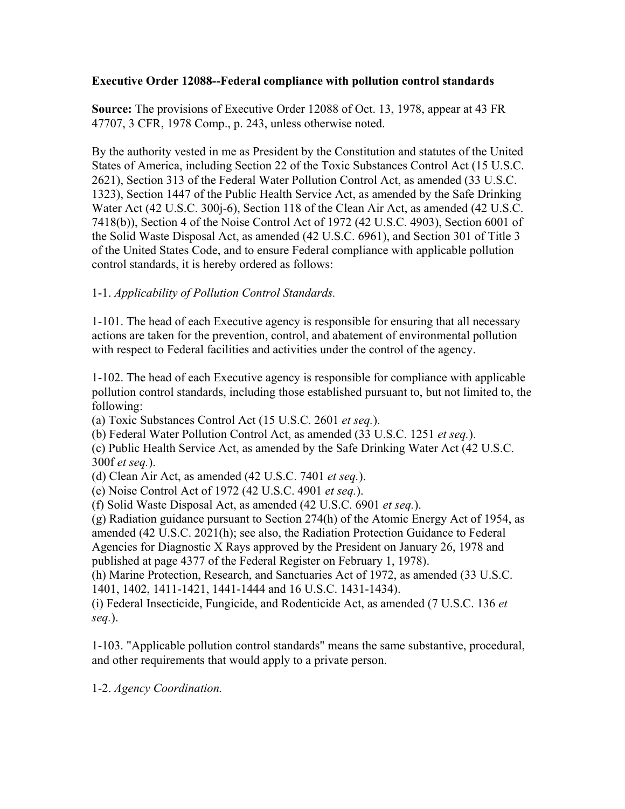### **Executive Order 12088--Federal compliance with pollution control standards**

**Source:** The provisions of Executive Order 12088 of Oct. 13, 1978, appear at 43 FR 47707, 3 CFR, 1978 Comp., p. 243, unless otherwise noted.

By the authority vested in me as President by the Constitution and statutes of the United States of America, including Section 22 of the Toxic Substances Control Act (15 U.S.C. 2621), Section 313 of the Federal Water Pollution Control Act, as amended (33 U.S.C. 1323), Section 1447 of the Public Health Service Act, as amended by the Safe Drinking Water Act (42 U.S.C. 300j-6), Section 118 of the Clean Air Act, as amended (42 U.S.C. 7418(b)), Section 4 of the Noise Control Act of 1972 (42 U.S.C. 4903), Section 6001 of the Solid Waste Disposal Act, as amended (42 U.S.C. 6961), and Section 301 of Title 3 of the United States Code, and to ensure Federal compliance with applicable pollution control standards, it is hereby ordered as follows:

# 1-1. *Applicability of Pollution Control Standards.*

1-101. The head of each Executive agency is responsible for ensuring that all necessary actions are taken for the prevention, control, and abatement of environmental pollution with respect to Federal facilities and activities under the control of the agency.

1-102. The head of each Executive agency is responsible for compliance with applicable pollution control standards, including those established pursuant to, but not limited to, the following:

(a) Toxic Substances Control Act (15 U.S.C. 2601 *et seq.*).

(b) Federal Water Pollution Control Act, as amended (33 U.S.C. 1251 *et seq.*).

(c) Public Health Service Act, as amended by the Safe Drinking Water Act (42 U.S.C. 300f *et seq.*).

(d) Clean Air Act, as amended (42 U.S.C. 7401 *et seq.*).

(e) Noise Control Act of 1972 (42 U.S.C. 4901 *et seq.*).

(f) Solid Waste Disposal Act, as amended (42 U.S.C. 6901 *et seq.*).

(g) Radiation guidance pursuant to Section 274(h) of the Atomic Energy Act of 1954, as amended (42 U.S.C. 2021(h); see also, the Radiation Protection Guidance to Federal Agencies for Diagnostic X Rays approved by the President on January 26, 1978 and published at page 4377 of the Federal Register on February 1, 1978).

(h) Marine Protection, Research, and Sanctuaries Act of 1972, as amended (33 U.S.C. 1401, 1402, 1411-1421, 1441-1444 and 16 U.S.C. 1431-1434).

(i) Federal Insecticide, Fungicide, and Rodenticide Act, as amended (7 U.S.C. 136 *et seq.*).

1-103. "Applicable pollution control standards" means the same substantive, procedural, and other requirements that would apply to a private person.

1-2. *Agency Coordination.*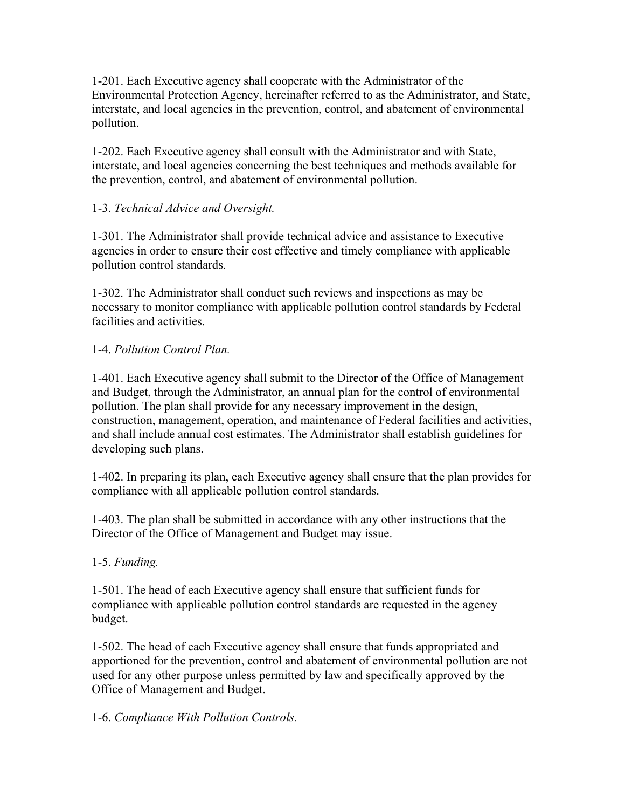1-201. Each Executive agency shall cooperate with the Administrator of the Environmental Protection Agency, hereinafter referred to as the Administrator, and State, interstate, and local agencies in the prevention, control, and abatement of environmental pollution.

1-202. Each Executive agency shall consult with the Administrator and with State, interstate, and local agencies concerning the best techniques and methods available for the prevention, control, and abatement of environmental pollution.

# 1-3. *Technical Advice and Oversight.*

1-301. The Administrator shall provide technical advice and assistance to Executive agencies in order to ensure their cost effective and timely compliance with applicable pollution control standards.

1-302. The Administrator shall conduct such reviews and inspections as may be necessary to monitor compliance with applicable pollution control standards by Federal facilities and activities.

### 1-4. *Pollution Control Plan.*

1-401. Each Executive agency shall submit to the Director of the Office of Management and Budget, through the Administrator, an annual plan for the control of environmental pollution. The plan shall provide for any necessary improvement in the design, construction, management, operation, and maintenance of Federal facilities and activities, and shall include annual cost estimates. The Administrator shall establish guidelines for developing such plans.

1-402. In preparing its plan, each Executive agency shall ensure that the plan provides for compliance with all applicable pollution control standards.

1-403. The plan shall be submitted in accordance with any other instructions that the Director of the Office of Management and Budget may issue.

### 1-5. *Funding.*

1-501. The head of each Executive agency shall ensure that sufficient funds for compliance with applicable pollution control standards are requested in the agency budget.

1-502. The head of each Executive agency shall ensure that funds appropriated and apportioned for the prevention, control and abatement of environmental pollution are not used for any other purpose unless permitted by law and specifically approved by the Office of Management and Budget.

### 1-6. *Compliance With Pollution Controls.*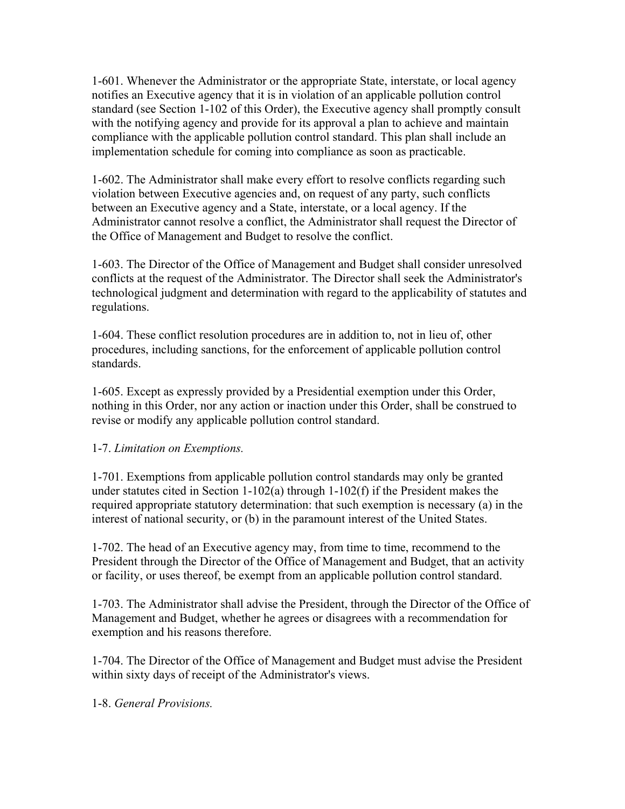1-601. Whenever the Administrator or the appropriate State, interstate, or local agency notifies an Executive agency that it is in violation of an applicable pollution control standard (see Section 1-102 of this Order), the Executive agency shall promptly consult with the notifying agency and provide for its approval a plan to achieve and maintain compliance with the applicable pollution control standard. This plan shall include an implementation schedule for coming into compliance as soon as practicable.

1-602. The Administrator shall make every effort to resolve conflicts regarding such violation between Executive agencies and, on request of any party, such conflicts between an Executive agency and a State, interstate, or a local agency. If the Administrator cannot resolve a conflict, the Administrator shall request the Director of the Office of Management and Budget to resolve the conflict.

1-603. The Director of the Office of Management and Budget shall consider unresolved conflicts at the request of the Administrator. The Director shall seek the Administrator's technological judgment and determination with regard to the applicability of statutes and regulations.

1-604. These conflict resolution procedures are in addition to, not in lieu of, other procedures, including sanctions, for the enforcement of applicable pollution control standards.

1-605. Except as expressly provided by a Presidential exemption under this Order, nothing in this Order, nor any action or inaction under this Order, shall be construed to revise or modify any applicable pollution control standard.

### 1-7. *Limitation on Exemptions.*

1-701. Exemptions from applicable pollution control standards may only be granted under statutes cited in Section 1-102(a) through 1-102(f) if the President makes the required appropriate statutory determination: that such exemption is necessary (a) in the interest of national security, or (b) in the paramount interest of the United States.

1-702. The head of an Executive agency may, from time to time, recommend to the President through the Director of the Office of Management and Budget, that an activity or facility, or uses thereof, be exempt from an applicable pollution control standard.

1-703. The Administrator shall advise the President, through the Director of the Office of Management and Budget, whether he agrees or disagrees with a recommendation for exemption and his reasons therefore.

1-704. The Director of the Office of Management and Budget must advise the President within sixty days of receipt of the Administrator's views.

1-8. *General Provisions.*